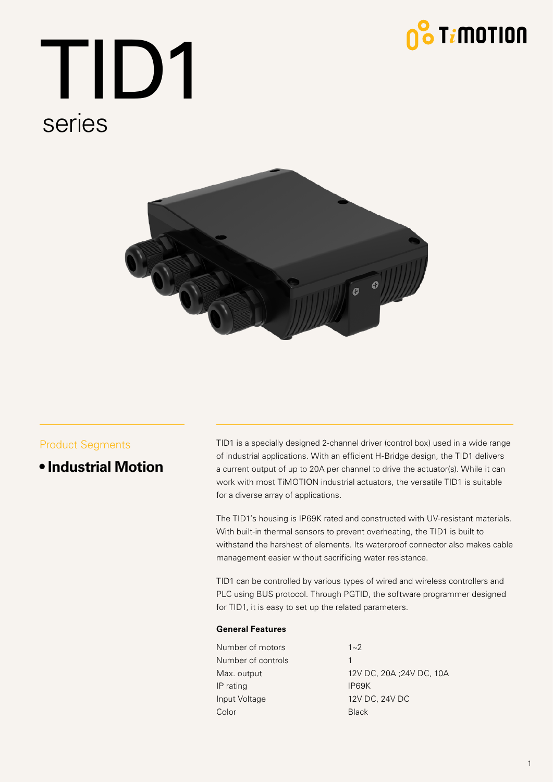

# TID1 series



### Product Segments

**• Industrial Motion**

TID1 is a specially designed 2-channel driver (control box) used in a wide range of industrial applications. With an efficient H-Bridge design, the TID1 delivers a current output of up to 20A per channel to drive the actuator(s). While it can work with most TiMOTION industrial actuators, the versatile TID1 is suitable for a diverse array of applications.

The TID1's housing is IP69K rated and constructed with UV-resistant materials. With built-in thermal sensors to prevent overheating, the TID1 is built to withstand the harshest of elements. Its waterproof connector also makes cable management easier without sacrificing water resistance.

TID1 can be controlled by various types of wired and wireless controllers and PLC using BUS protocol. Through PGTID, the software programmer designed for TID1, it is easy to set up the related parameters.

#### **General Features**

- Number of motors  $1~2$ Number of controls 1 IP rating IP69K Input Voltage 12V DC, 24V DC Color Black
- Max. output 12V DC, 20A ; 24V DC, 10A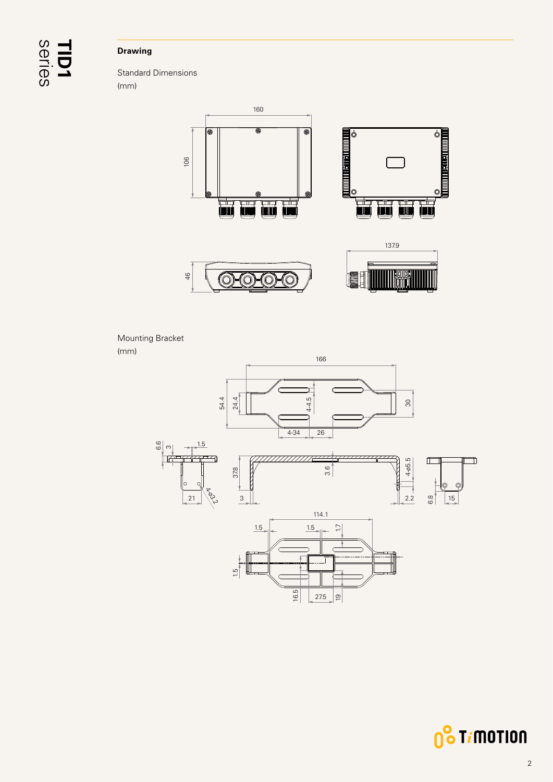# series **TID1**

### **Drawing**

Standard Dimensions (mm)